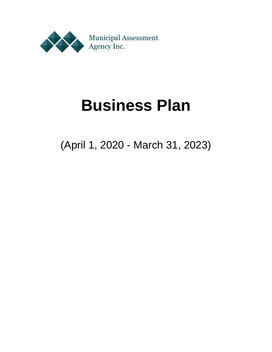

# **Business Plan**

(April 1, 2020 - March 31, 2023)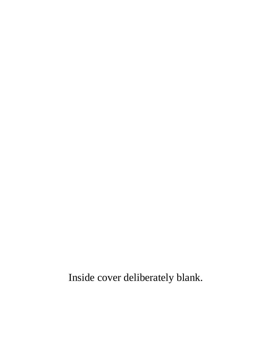Inside cover deliberately blank.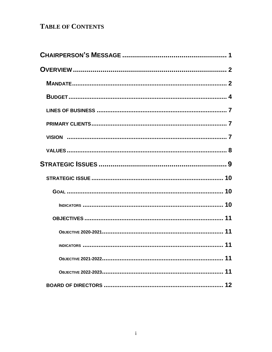# **TABLE OF CONTENTS**

| 11 |
|----|
|    |
| 12 |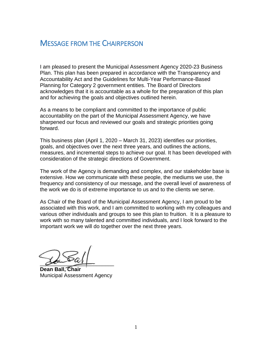# MESSAGE FROM THE CHAIRPERSON

I am pleased to present the Municipal Assessment Agency 2020-23 Business Plan. This plan has been prepared in accordance with the Transparency and Accountability Act and the Guidelines for Multi-Year Performance-Based Planning for Category 2 government entities. The Board of Directors acknowledges that it is accountable as a whole for the preparation of this plan and for achieving the goals and objectives outlined herein.

As a means to be compliant and committed to the importance of public accountability on the part of the Municipal Assessment Agency, we have sharpened our focus and reviewed our goals and strategic priorities going forward.

This business plan (April 1, 2020 – March 31, 2023) identifies our priorities, goals, and objectives over the next three years, and outlines the actions, measures, and incremental steps to achieve our goal. It has been developed with consideration of the strategic directions of Government.

The work of the Agency is demanding and complex, and our stakeholder base is extensive. How we communicate with these people, the mediums we use, the frequency and consistency of our message, and the overall level of awareness of the work we do is of extreme importance to us and to the clients we serve.

As Chair of the Board of the Municipal Assessment Agency, I am proud to be associated with this work, and I am committed to working with my colleagues and various other individuals and groups to see this plan to fruition. It is a pleasure to work with so many talented and committed individuals, and I look forward to the important work we will do together over the next three years.

 $\alpha$ 

**Dean Ball, Chair** Municipal Assessment Agency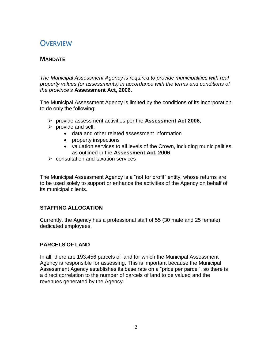# **OVERVIEW**

## **MANDATE**

*The Municipal Assessment Agency is required to provide municipalities with real property values (or assessments) in accordance with the terms and conditions of the province's* **Assessment Act, 2006**.

The Municipal Assessment Agency is limited by the conditions of its incorporation to do only the following:

- provide assessment activities per the **Assessment Act 2006**;
- $\triangleright$  provide and sell;
	- data and other related assessment information
	- property inspections
	- valuation services to all levels of the Crown, including municipalities as outlined in the **Assessment Act, 2006**
- $\triangleright$  consultation and taxation services

The Municipal Assessment Agency is a "not for profit" entity, whose returns are to be used solely to support or enhance the activities of the Agency on behalf of its municipal clients.

#### **STAFFING ALLOCATION**

Currently, the Agency has a professional staff of 55 (30 male and 25 female) dedicated employees.

#### **PARCELS OF LAND**

In all, there are 193,456 parcels of land for which the Municipal Assessment Agency is responsible for assessing. This is important because the Municipal Assessment Agency establishes its base rate on a "price per parcel", so there is a direct correlation to the number of parcels of land to be valued and the revenues generated by the Agency.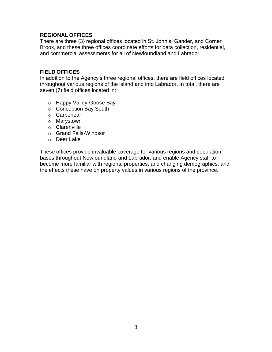#### **REGIONAL OFFICES**

There are three (3) regional offices located in St. John's, Gander, and Corner Brook, and these three offices coordinate efforts for data collection, residential, and commercial assessments for all of Newfoundland and Labrador.

#### **FIELD OFFICES**

In addition to the Agency's three regional offices, there are field offices located throughout various regions of the island and into Labrador. In total, there are seven (7) field offices located in:

- o Happy Valley-Goose Bay
- o Conception Bay South
- o Carbonear
- o Marystown
- o Clarenville
- o Grand Falls-Windsor
- o Deer Lake

These offices provide invaluable coverage for various regions and population bases throughout Newfoundland and Labrador, and enable Agency staff to become more familiar with regions, properties, and changing demographics, and the effects these have on property values in various regions of the province.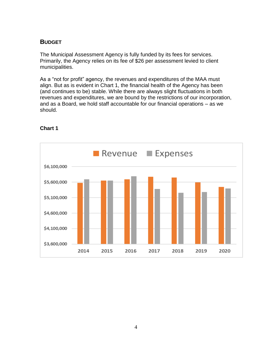## **BUDGET**

The Municipal Assessment Agency is fully funded by its fees for services. Primarily, the Agency relies on its fee of \$26 per assessment levied to client municipalities.

As a "not for profit" agency, the revenues and expenditures of the MAA must align. But as is evident in Chart 1, the financial health of the Agency has been (and continues to be) stable. While there are always slight fluctuations in both revenues and expenditures, we are bound by the restrictions of our incorporation, and as a Board, we hold staff accountable for our financial operations – as we should.



#### **Chart 1**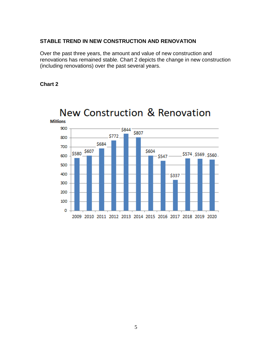#### **STABLE TREND IN NEW CONSTRUCTION AND RENOVATION**

Over the past three years, the amount and value of new construction and renovations has remained stable. Chart 2 depicts the change in new construction (including renovations) over the past several years.

#### **Chart 2**



New Construction & Renovation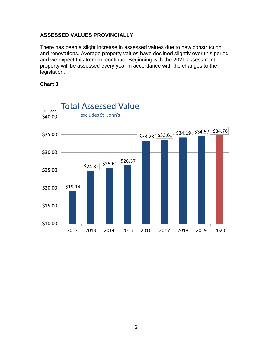#### **ASSESSED VALUES PROVINCIALLY**

There has been a slight increase in assessed values due to new construction and renovations. Average property values have declined slightly over this period and we expect this trend to continue. Beginning with the 2021 assessment, property will be assessed every year in accordance with the changes to the legislation.



#### **Chart 3**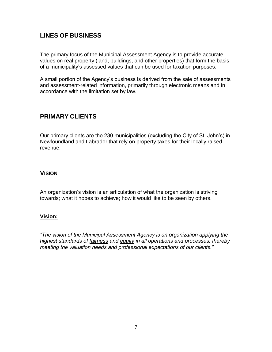# **LINES OF BUSINESS**

The primary focus of the Municipal Assessment Agency is to provide accurate values on real property (land, buildings, and other properties) that form the basis of a municipality's assessed values that can be used for taxation purposes.

A small portion of the Agency's business is derived from the sale of assessments and assessment-related information, primarily through electronic means and in accordance with the limitation set by law.

# **PRIMARY CLIENTS**

Our primary clients are the 230 municipalities (excluding the City of St. John's) in Newfoundland and Labrador that rely on property taxes for their locally raised revenue.

### **VISION**

An organization's vision is an articulation of what the organization is striving towards; what it hopes to achieve; how it would like to be seen by others.

#### **Vision:**

*"The vision of the Municipal Assessment Agency is an organization applying the highest standards of fairness and equity in all operations and processes, thereby meeting the valuation needs and professional expectations of our clients."*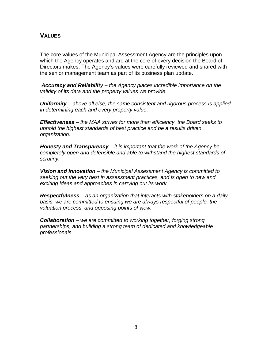## **VALUES**

The core values of the Municipal Assessment Agency are the principles upon which the Agency operates and are at the core of every decision the Board of Directors makes. The Agency's values were carefully reviewed and shared with the senior management team as part of its business plan update.

*Accuracy and Reliability* – *the Agency places incredible importance on the validity of its data and the property values we provide.*

*Uniformity* – *above all else, the same consistent and rigorous process is applied in determining each and every property value.*

*Effectiveness* – *the MAA strives for more than efficiency, the Board seeks to uphold the highest standards of best practice and be a results driven organization.*

*Honesty and Transparency* – *it is important that the work of the Agency be completely open and defensible and able to withstand the highest standards of scrutiny.*

*Vision and Innovation* – *the Municipal Assessment Agency is committed to seeking out the very best in assessment practices, and is open to new and exciting ideas and approaches in carrying out its work.*

*Respectfulness* – *as an organization that interacts with stakeholders on a daily basis, we are committed to ensuing we are always respectful of people, the valuation process, and opposing points of view.*

*Collaboration* – *we are committed to working together, forging strong partnerships, and building a strong team of dedicated and knowledgeable professionals.*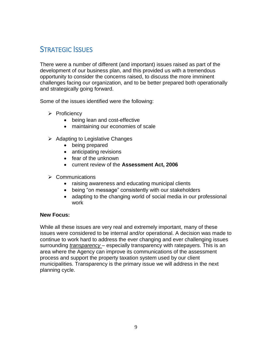# STRATEGIC ISSUES

There were a number of different (and important) issues raised as part of the development of our business plan, and this provided us with a tremendous opportunity to consider the concerns raised, to discuss the more imminent challenges facing our organization, and to be better prepared both operationally and strategically going forward.

Some of the issues identified were the following:

- $\triangleright$  Proficiency
	- being lean and cost-effective
	- maintaining our economies of scale
- $\triangleright$  Adapting to Legislative Changes
	- being prepared
	- anticipating revisions
	- fear of the unknown
	- current review of the **Assessment Act, 2006**
- $\triangleright$  Communications
	- raising awareness and educating municipal clients
	- being "on message" consistently with our stakeholders
	- adapting to the changing world of social media in our professional work

#### **New Focus:**

While all these issues are very real and extremely important, many of these issues were considered to be internal and/or operational. A decision was made to continue to work hard to address the ever changing and ever challenging issues surrounding *transparency* – especially transparency with ratepayers. This is an area where the Agency can improve its communications of the assessment process and support the property taxation system used by our client municipalities. Transparency is the primary issue we will address in the next planning cycle.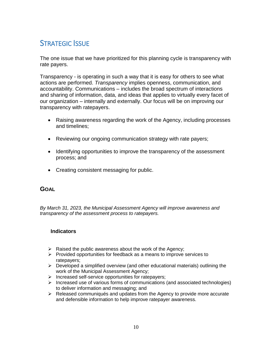# STRATEGIC ISSUE

The one issue that we have prioritized for this planning cycle is transparency with rate payers.

Transparency - is operating in such a way that it is easy for others to see what actions are performed. *Transparency* implies openness, communication, and accountability. Communications – includes the broad spectrum of interactions and sharing of information, data, and ideas that applies to virtually every facet of our organization – internally and externally. Our focus will be on improving our transparency with ratepayers.

- Raising awareness regarding the work of the Agency, including processes and timelines;
- Reviewing our ongoing communication strategy with rate payers;
- Identifying opportunities to improve the transparency of the assessment process; and
- Creating consistent messaging for public.

## **GOAL**

*By March 31, 2023, the Municipal Assessment Agency will improve awareness and transparency of the assessment process to ratepayers.* 

#### **Indicators**

- $\triangleright$  Raised the public awareness about the work of the Agency;
- $\triangleright$  Provided opportunities for feedback as a means to improve services to ratepayers;
- $\triangleright$  Developed a simplified overview (and other educational materials) outlining the work of the Municipal Assessment Agency;
- $\triangleright$  Increased self-service opportunities for ratepayers;
- Increased use of various forms of communications (and associated technologies) to deliver information and messaging; and
- $\triangleright$  Released communiqués and updates from the Agency to provide more accurate and defensible information to help improve ratepayer awareness.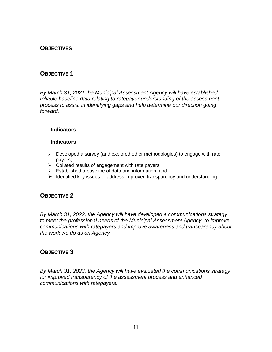## **OBJECTIVES**

## **OBJECTIVE 1**

*By March 31, 2021 the Municipal Assessment Agency will have established reliable baseline data relating to ratepayer understanding of the assessment process to assist in identifying gaps and help determine our direction going forward.*

#### **Indicators**

#### **Indicators**

- $\triangleright$  Developed a survey (and explored other methodologies) to engage with rate payers;
- $\triangleright$  Collated results of engagement with rate payers;
- $\triangleright$  Established a baseline of data and information; and
- $\triangleright$  Identified key issues to address improved transparency and understanding.

#### **OBJECTIVE 2**

*By March 31, 2022, the Agency will have developed a communications strategy to meet the professional needs of the Municipal Assessment Agency, to improve communications with ratepayers and improve awareness and transparency about the work we do as an Agency.*

#### **OBJECTIVE 3**

*By March 31, 2023, the Agency will have evaluated the communications strategy for improved transparency of the assessment process and enhanced communications with ratepayers.*